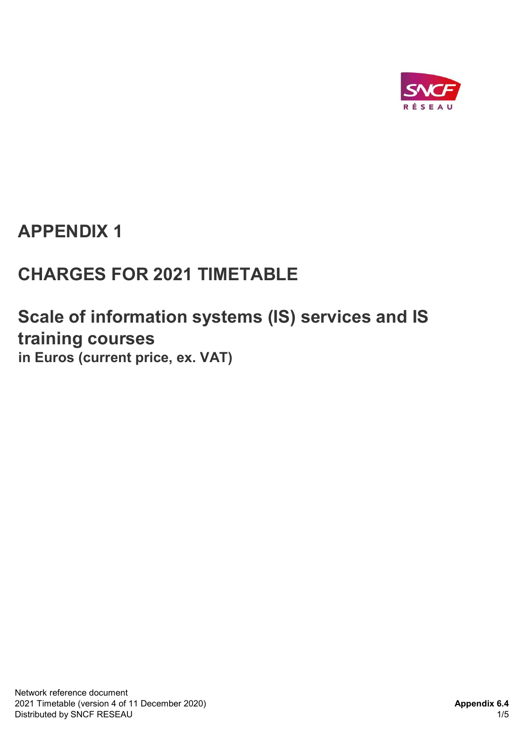

## APPENDIX 1

# CHARGES FOR 2021 TIMETABLE

## Scale of information systems (IS) services and IS training courses in Euros (current price, ex. VAT)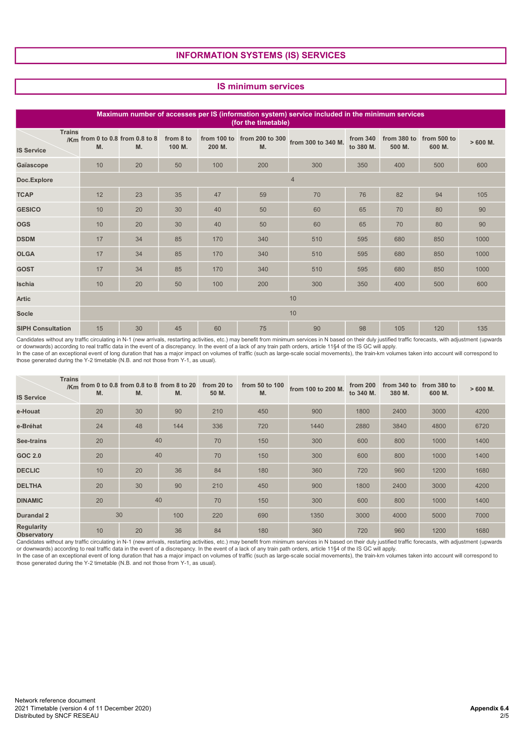### INFORMATION SYSTEMS (IS) SERVICES

#### IS minimum services

| Maximum number of accesses per IS (information system) service included in the minimum services<br>(for the timetable) |    |                                       |                     |        |     |                                                |                       |                       |                       |           |
|------------------------------------------------------------------------------------------------------------------------|----|---------------------------------------|---------------------|--------|-----|------------------------------------------------|-----------------------|-----------------------|-----------------------|-----------|
| <b>Trains</b><br><b>IS Service</b>                                                                                     | M. | /Km from 0 to 0.8 from 0.8 to 8<br>M. | from 8 to<br>100 M. | 200 M. | M.  | from 100 to from 200 to 300 from 300 to 340 M. | from 340<br>to 380 M. | from 380 to<br>500 M. | from 500 to<br>600 M. | $>600$ M. |
| Gaïascope                                                                                                              | 10 | 20                                    | 50                  | 100    | 200 | 300                                            | 350                   | 400                   | 500                   | 600       |
| Doc.Explore                                                                                                            |    | $\overline{4}$                        |                     |        |     |                                                |                       |                       |                       |           |
| <b>TCAP</b>                                                                                                            | 12 | 23                                    | 35                  | 47     | 59  | 70                                             | 76                    | 82                    | 94                    | 105       |
| <b>GESICO</b>                                                                                                          | 10 | 20                                    | 30                  | 40     | 50  | 60                                             | 65                    | 70                    | 80                    | 90        |
| <b>OGS</b>                                                                                                             | 10 | 20                                    | 30                  | 40     | 50  | 60                                             | 65                    | 70                    | 80                    | 90        |
| <b>DSDM</b>                                                                                                            | 17 | 34                                    | 85                  | 170    | 340 | 510                                            | 595                   | 680                   | 850                   | 1000      |
| <b>OLGA</b>                                                                                                            | 17 | 34                                    | 85                  | 170    | 340 | 510                                            | 595                   | 680                   | 850                   | 1000      |
| <b>GOST</b>                                                                                                            | 17 | 34                                    | 85                  | 170    | 340 | 510                                            | 595                   | 680                   | 850                   | 1000      |
| Ischia                                                                                                                 | 10 | 20                                    | 50                  | 100    | 200 | 300                                            | 350                   | 400                   | 500                   | 600       |
| <b>Artic</b>                                                                                                           | 10 |                                       |                     |        |     |                                                |                       |                       |                       |           |
| <b>Socle</b>                                                                                                           | 10 |                                       |                     |        |     |                                                |                       |                       |                       |           |
| <b>SIPH Consultation</b>                                                                                               | 15 | 30                                    | 45                  | 60     | 75  | 90                                             | 98                    | 105                   | 120                   | 135       |

Candidates without any traffic circulating in N-1 (new arrivals, restarting activities, etc.) may benefit from minimum services in N based on their duly justified traffic forecasts, with adjustment (upwards<br>or downwards) a those generated during the Y-2 timetable (N.B. and not those from Y-1, as usual).

| <b>IS Service</b>                       | <b>Trains</b> | M. | /Km from 0 to 0.8 from 0.8 to 8 from 8 to 20<br>M. | M.  | from 20 to<br>50 M. | from 50 to 100<br>M. | from 100 to 200 M. | from 200<br>to 340 M. | from 340 to<br>380 M. | from 380 to<br>600 M. | $>600$ M. |
|-----------------------------------------|---------------|----|----------------------------------------------------|-----|---------------------|----------------------|--------------------|-----------------------|-----------------------|-----------------------|-----------|
| e-Houat                                 |               | 20 | 30                                                 | 90  | 210                 | 450                  | 900                | 1800                  | 2400                  | 3000                  | 4200      |
| e-Bréhat                                |               | 24 | 48                                                 | 144 | 336                 | 720                  | 1440               | 2880                  | 3840                  | 4800                  | 6720      |
| See-trains                              |               | 20 | 40                                                 |     | 70                  | 150                  | 300                | 600                   | 800                   | 1000                  | 1400      |
| <b>GOC 2.0</b>                          |               | 20 | 40                                                 |     | 70                  | 150                  | 300                | 600                   | 800                   | 1000                  | 1400      |
| <b>DECLIC</b>                           |               | 10 | 20                                                 | 36  | 84                  | 180                  | 360                | 720                   | 960                   | 1200                  | 1680      |
| <b>DELTHA</b>                           |               | 20 | 30                                                 | 90  | 210                 | 450                  | 900                | 1800                  | 2400                  | 3000                  | 4200      |
| <b>DINAMIC</b>                          |               | 20 | 40                                                 |     | 70                  | 150                  | 300                | 600                   | 800                   | 1000                  | 1400      |
| <b>Durandal 2</b>                       |               |    | 30                                                 | 100 | 220                 | 690                  | 1350               | 3000                  | 4000                  | 5000                  | 7000      |
| <b>Regularity</b><br><b>Observatory</b> |               | 10 | 20                                                 | 36  | 84                  | 180                  | 360                | 720                   | 960                   | 1200                  | 1680      |

Candidates without any traffic circulating in N-1 (new arrivals, restarting activities, etc.) may benefit from minimum services in N based on their duly justified traffic forecasts, with adjustment (upwards

or downwards) according to real traffic data in the event of a discrepancy. In the event of a lack of any train path orders, article 11§4 of the IS GC will apply.<br>In the case of an exceptional event of long duration that h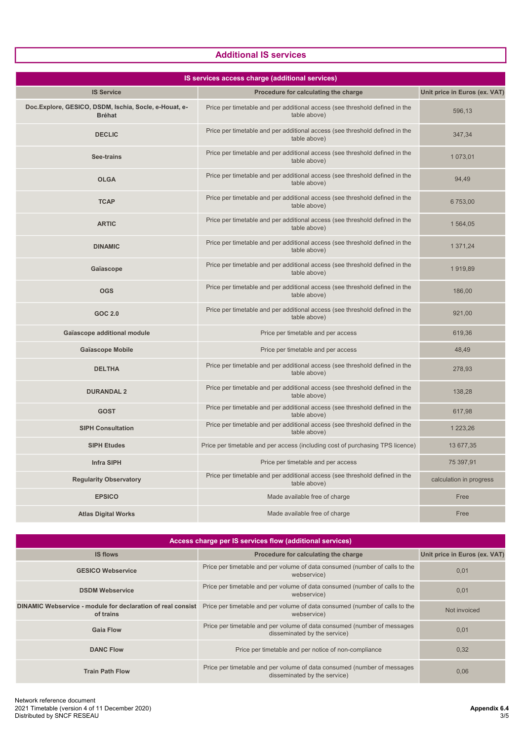### Additional IS services

| IS services access charge (additional services)                        |                                                                                             |                               |  |  |  |  |  |
|------------------------------------------------------------------------|---------------------------------------------------------------------------------------------|-------------------------------|--|--|--|--|--|
| <b>IS Service</b>                                                      | Procedure for calculating the charge                                                        | Unit price in Euros (ex. VAT) |  |  |  |  |  |
| Doc.Explore, GESICO, DSDM, Ischia, Socle, e-Houat, e-<br><b>Bréhat</b> | Price per timetable and per additional access (see threshold defined in the<br>table above) | 596,13                        |  |  |  |  |  |
| <b>DECLIC</b>                                                          | Price per timetable and per additional access (see threshold defined in the<br>table above) | 347,34                        |  |  |  |  |  |
| See-trains                                                             | Price per timetable and per additional access (see threshold defined in the<br>table above) | 1 073,01                      |  |  |  |  |  |
| <b>OLGA</b>                                                            | Price per timetable and per additional access (see threshold defined in the<br>table above) | 94,49                         |  |  |  |  |  |
| <b>TCAP</b>                                                            | Price per timetable and per additional access (see threshold defined in the<br>table above) | 6 753,00                      |  |  |  |  |  |
| <b>ARTIC</b>                                                           | Price per timetable and per additional access (see threshold defined in the<br>table above) | 1 564,05                      |  |  |  |  |  |
| <b>DINAMIC</b>                                                         | Price per timetable and per additional access (see threshold defined in the<br>table above) | 1 371,24                      |  |  |  |  |  |
| Gaïascope                                                              | Price per timetable and per additional access (see threshold defined in the<br>table above) | 1919,89                       |  |  |  |  |  |
| <b>OGS</b>                                                             | Price per timetable and per additional access (see threshold defined in the<br>table above) | 186,00                        |  |  |  |  |  |
| <b>GOC 2.0</b>                                                         | Price per timetable and per additional access (see threshold defined in the<br>table above) | 921,00                        |  |  |  |  |  |
| Gaïascope additional module                                            | Price per timetable and per access                                                          | 619,36                        |  |  |  |  |  |
| <b>Gaïascope Mobile</b>                                                | Price per timetable and per access                                                          | 48,49                         |  |  |  |  |  |
| <b>DELTHA</b>                                                          | Price per timetable and per additional access (see threshold defined in the<br>table above) | 278,93                        |  |  |  |  |  |
| <b>DURANDAL 2</b>                                                      | Price per timetable and per additional access (see threshold defined in the<br>table above) | 138,28                        |  |  |  |  |  |
| <b>GOST</b>                                                            | Price per timetable and per additional access (see threshold defined in the<br>table above) | 617,98                        |  |  |  |  |  |
| <b>SIPH Consultation</b>                                               | Price per timetable and per additional access (see threshold defined in the<br>table above) | 1 223,26                      |  |  |  |  |  |
| <b>SIPH Etudes</b>                                                     | Price per timetable and per access (including cost of purchasing TPS licence)               | 13 677,35                     |  |  |  |  |  |
| <b>Infra SIPH</b>                                                      | Price per timetable and per access                                                          | 75 397,91                     |  |  |  |  |  |
| <b>Regularity Observatory</b>                                          | Price per timetable and per additional access (see threshold defined in the<br>table above) | calculation in progress       |  |  |  |  |  |
| <b>EPSICO</b>                                                          | Made available free of charge                                                               | Free                          |  |  |  |  |  |
| <b>Atlas Digital Works</b>                                             | Made available free of charge                                                               | Free                          |  |  |  |  |  |

| Access charge per IS services flow (additional services)                 |                                                                                                         |                               |  |  |  |  |  |
|--------------------------------------------------------------------------|---------------------------------------------------------------------------------------------------------|-------------------------------|--|--|--|--|--|
| <b>IS flows</b>                                                          | Procedure for calculating the charge                                                                    | Unit price in Euros (ex. VAT) |  |  |  |  |  |
| <b>GESICO Webservice</b>                                                 | Price per timetable and per volume of data consumed (number of calls to the<br>webservice)              | 0,01                          |  |  |  |  |  |
| <b>DSDM Webservice</b>                                                   | Price per timetable and per volume of data consumed (number of calls to the<br>webservice)              | 0,01                          |  |  |  |  |  |
| DINAMIC Webservice - module for declaration of real consist<br>of trains | Price per timetable and per volume of data consumed (number of calls to the<br>webservice)              | Not invoiced                  |  |  |  |  |  |
| <b>Gaia Flow</b>                                                         | Price per timetable and per volume of data consumed (number of messages<br>disseminated by the service) | 0,01                          |  |  |  |  |  |
| <b>DANC Flow</b>                                                         | Price per timetable and per notice of non-compliance                                                    | 0,32                          |  |  |  |  |  |
| <b>Train Path Flow</b>                                                   | Price per timetable and per volume of data consumed (number of messages<br>disseminated by the service) | 0,06                          |  |  |  |  |  |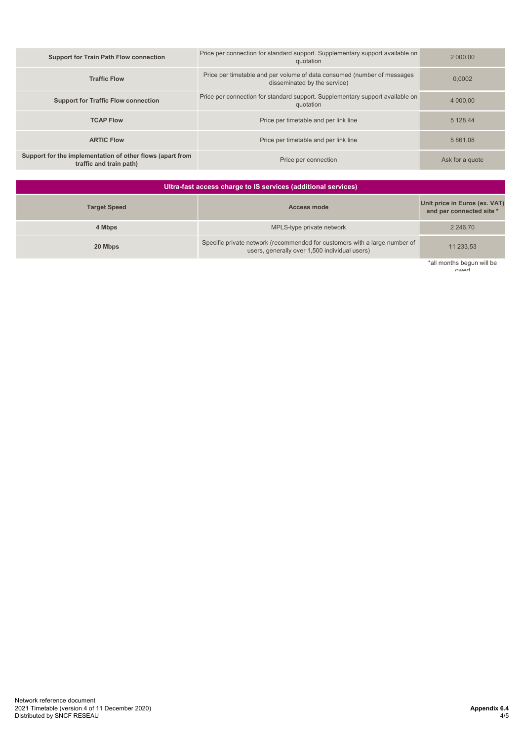| <b>Support for Train Path Flow connection</b>                                        | Price per connection for standard support. Supplementary support available on<br>quotation              | 2 000.00        |
|--------------------------------------------------------------------------------------|---------------------------------------------------------------------------------------------------------|-----------------|
| <b>Traffic Flow</b>                                                                  | Price per timetable and per volume of data consumed (number of messages<br>disseminated by the service) | 0.0002          |
| <b>Support for Traffic Flow connection</b>                                           | Price per connection for standard support. Supplementary support available on<br>quotation              | 4 000,00        |
| <b>TCAP Flow</b>                                                                     | Price per timetable and per link line                                                                   | 5 128.44        |
| <b>ARTIC Flow</b>                                                                    | Price per timetable and per link line                                                                   | 5 861.08        |
| Support for the implementation of other flows (apart from<br>traffic and train path) | Price per connection                                                                                    | Ask for a quote |

| Ultra-fast access charge to IS services (additional services) |                                                                                                                             |                                                           |  |  |  |  |  |
|---------------------------------------------------------------|-----------------------------------------------------------------------------------------------------------------------------|-----------------------------------------------------------|--|--|--|--|--|
| <b>Target Speed</b>                                           | <b>Access mode</b>                                                                                                          | Unit price in Euros (ex. VAT)<br>and per connected site * |  |  |  |  |  |
| 4 Mbps                                                        | MPLS-type private network                                                                                                   | 2 2 4 6 . 7 0                                             |  |  |  |  |  |
| 20 Mbps                                                       | Specific private network (recommended for customers with a large number of<br>users, generally over 1,500 individual users) | 11 233,53                                                 |  |  |  |  |  |
|                                                               |                                                                                                                             | *all monthe hogun will be                                 |  |  |  |  |  |

\*all months begun will be owed